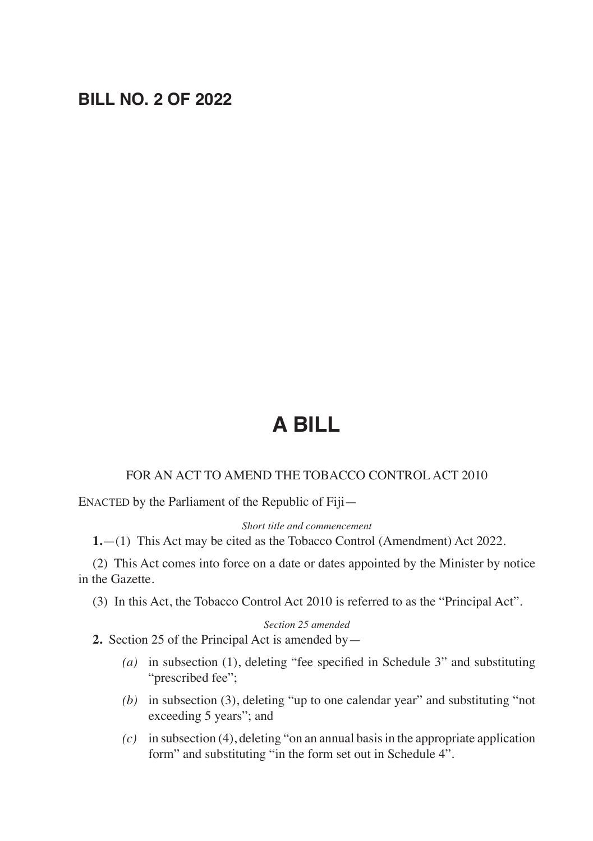## **BILL NO. 2 OF 2022**

# **A BILL**

#### FOR AN ACT TO AMEND THE TOBACCO CONTROL ACT 2010

ENACTED by the Parliament of the Republic of Fiji—

*Short title and commencement*

**1.**—(1) This Act may be cited as the Tobacco Control (Amendment) Act 2022.

(2) This Act comes into force on a date or dates appointed by the Minister by notice in the Gazette.

(3) In this Act, the Tobacco Control Act 2010 is referred to as the "Principal Act".

#### *Section 25 amended*

**2.** Section 25 of the Principal Act is amended by—

- *(a)* in subsection (1), deleting "fee specified in Schedule 3" and substituting "prescribed fee";
- *(b)* in subsection (3), deleting "up to one calendar year" and substituting "not exceeding 5 years"; and
- *(c)* in subsection (4), deleting "on an annual basis in the appropriate application form" and substituting "in the form set out in Schedule 4".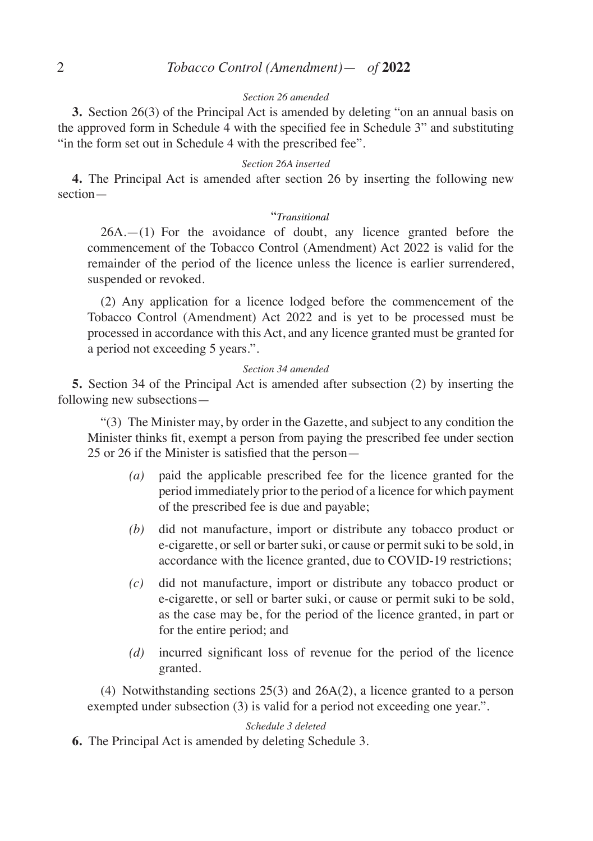#### *Section 26 amended*

**3.** Section 26(3) of the Principal Act is amended by deleting "on an annual basis on the approved form in Schedule 4 with the specified fee in Schedule 3" and substituting "in the form set out in Schedule 4 with the prescribed fee".

#### *Section 26A inserted*

**4.** The Principal Act is amended after section 26 by inserting the following new section—

#### "*Transitional*

26A.—(1) For the avoidance of doubt, any licence granted before the commencement of the Tobacco Control (Amendment) Act 2022 is valid for the remainder of the period of the licence unless the licence is earlier surrendered, suspended or revoked.

(2) Any application for a licence lodged before the commencement of the Tobacco Control (Amendment) Act 2022 and is yet to be processed must be processed in accordance with this Act, and any licence granted must be granted for a period not exceeding 5 years.".

#### *Section 34 amended*

**5.** Section 34 of the Principal Act is amended after subsection (2) by inserting the following new subsections—

"(3) The Minister may, by order in the Gazette, and subject to any condition the Minister thinks fit, exempt a person from paying the prescribed fee under section 25 or 26 if the Minister is satisfied that the person—

- *(a)* paid the applicable prescribed fee for the licence granted for the period immediately prior to the period of a licence for which payment of the prescribed fee is due and payable;
- *(b)* did not manufacture, import or distribute any tobacco product or e-cigarette, or sell or barter suki, or cause or permit suki to be sold, in accordance with the licence granted, due to COVID-19 restrictions;
- *(c)* did not manufacture, import or distribute any tobacco product or e-cigarette, or sell or barter suki, or cause or permit suki to be sold, as the case may be, for the period of the licence granted, in part or for the entire period; and
- *(d)* incurred significant loss of revenue for the period of the licence granted.

(4) Notwithstanding sections 25(3) and 26A(2), a licence granted to a person exempted under subsection (3) is valid for a period not exceeding one year.".

*Schedule 3 deleted*

**6.** The Principal Act is amended by deleting Schedule 3.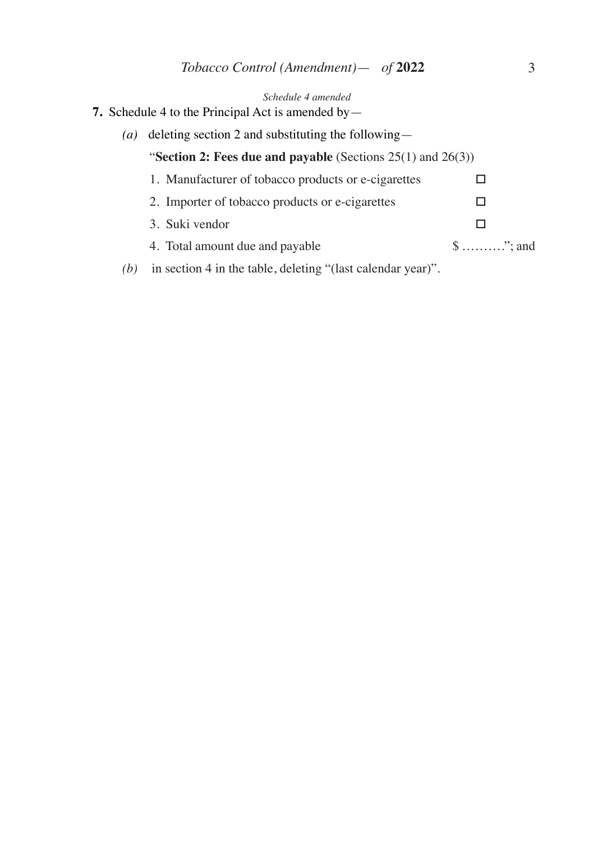| Schedule 4 amended<br><b>7.</b> Schedule 4 to the Principal Act is amended by $-$ |                                                             |                                      |
|-----------------------------------------------------------------------------------|-------------------------------------------------------------|--------------------------------------|
| $\left( a\right)$                                                                 | deleting section 2 and substituting the following—          |                                      |
| "Section 2: Fees due and payable (Sections $25(1)$ and $26(3)$ )                  |                                                             |                                      |
|                                                                                   | 1. Manufacturer of tobacco products or e-cigarettes         |                                      |
|                                                                                   | 2. Importer of tobacco products or e-cigarettes             |                                      |
|                                                                                   | 3. Suki vendor                                              |                                      |
|                                                                                   | 4. Total amount due and payable                             | $\text{\$} \dots \dots \dots$ "; and |
| (b)                                                                               | in section 4 in the table, deleting "(last calendar year)". |                                      |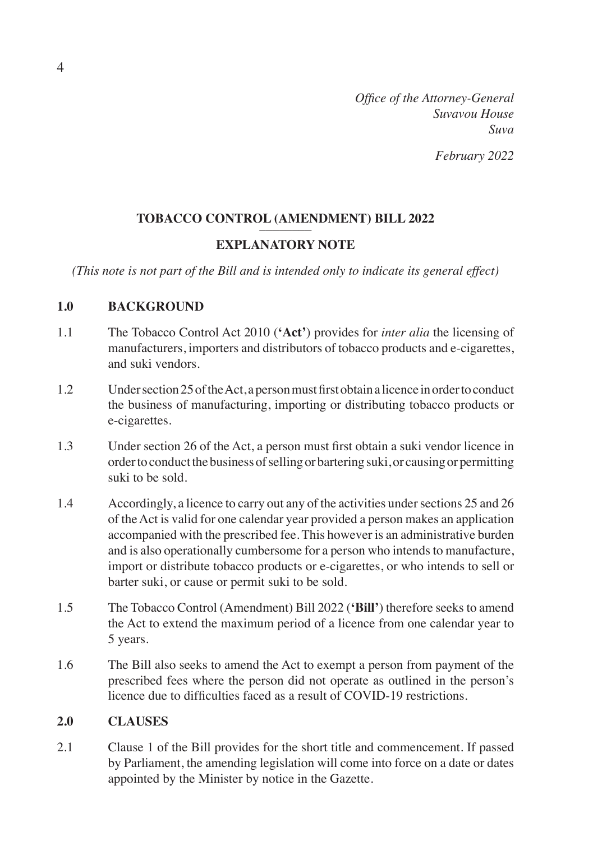*Office of the Attorney-General Suvavou House Suva February 2022*

## TOBACCO CONTROL (AMENDMENT) BILL 2022

## **EXPLANATORY NOTE**

*(This note is not part of the Bill and is intended only to indicate its general effect)*

## **1.0 BACKGROUND**

- 1.1 The Tobacco Control Act 2010 (**'Act'**) provides for *inter alia* the licensing of manufacturers, importers and distributors of tobacco products and e-cigarettes, and suki vendors.
- 1.2 Under section 25 of the Act, a person must first obtain a licence in order to conduct the business of manufacturing, importing or distributing tobacco products or e-cigarettes.
- 1.3 Under section 26 of the Act, a person must first obtain a suki vendor licence in order to conduct the business of selling or bartering suki, or causing or permitting suki to be sold.
- 1.4 Accordingly, a licence to carry out any of the activities under sections 25 and 26 of the Act is valid for one calendar year provided a person makes an application accompanied with the prescribed fee. This however is an administrative burden and is also operationally cumbersome for a person who intends to manufacture, import or distribute tobacco products or e-cigarettes, or who intends to sell or barter suki, or cause or permit suki to be sold.
- 1.5 The Tobacco Control (Amendment) Bill 2022 (**'Bill'**) therefore seeks to amend the Act to extend the maximum period of a licence from one calendar year to 5 years.
- 1.6 The Bill also seeks to amend the Act to exempt a person from payment of the prescribed fees where the person did not operate as outlined in the person's licence due to difficulties faced as a result of COVID-19 restrictions.

### **2.0 CLAUSES**

2.1 Clause 1 of the Bill provides for the short title and commencement. If passed by Parliament, the amending legislation will come into force on a date or dates appointed by the Minister by notice in the Gazette.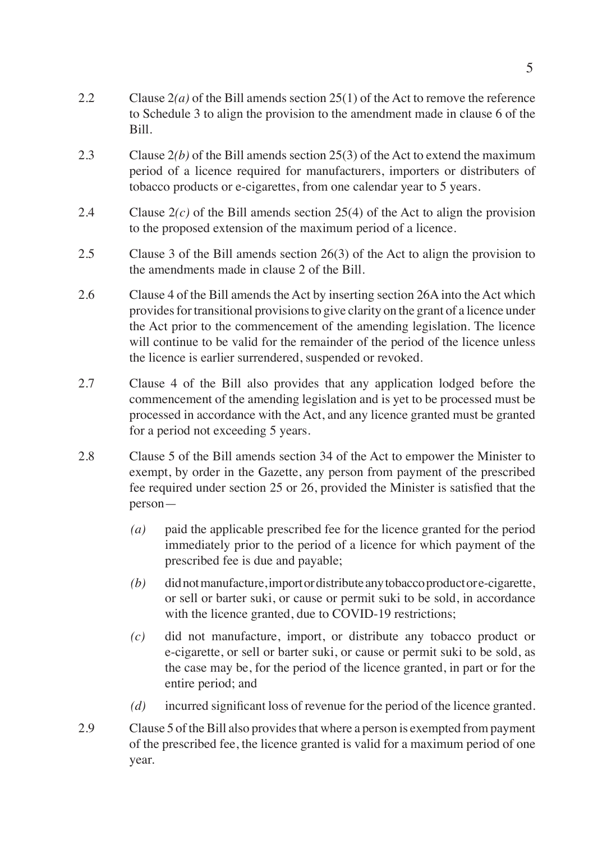- 2.2 Clause 2*(a)* of the Bill amends section 25(1) of the Act to remove the reference to Schedule 3 to align the provision to the amendment made in clause 6 of the Bill.
- 2.3 Clause 2*(b)* of the Bill amends section 25(3) of the Act to extend the maximum period of a licence required for manufacturers, importers or distributers of tobacco products or e-cigarettes, from one calendar year to 5 years.
- 2.4 Clause 2*(c)* of the Bill amends section 25(4) of the Act to align the provision to the proposed extension of the maximum period of a licence.
- 2.5 Clause 3 of the Bill amends section 26(3) of the Act to align the provision to the amendments made in clause 2 of the Bill.
- 2.6 Clause 4 of the Bill amends the Act by inserting section 26A into the Act which provides for transitional provisions to give clarity on the grant of a licence under the Act prior to the commencement of the amending legislation. The licence will continue to be valid for the remainder of the period of the licence unless the licence is earlier surrendered, suspended or revoked.
- 2.7 Clause 4 of the Bill also provides that any application lodged before the commencement of the amending legislation and is yet to be processed must be processed in accordance with the Act, and any licence granted must be granted for a period not exceeding 5 years.
- 2.8 Clause 5 of the Bill amends section 34 of the Act to empower the Minister to exempt, by order in the Gazette, any person from payment of the prescribed fee required under section 25 or 26, provided the Minister is satisfied that the person—
	- *(a)* paid the applicable prescribed fee for the licence granted for the period immediately prior to the period of a licence for which payment of the prescribed fee is due and payable;
	- *(b)* did not manufacture, import or distribute any tobacco product or e-cigarette, or sell or barter suki, or cause or permit suki to be sold, in accordance with the licence granted, due to COVID-19 restrictions;
	- *(c)* did not manufacture, import, or distribute any tobacco product or e-cigarette, or sell or barter suki, or cause or permit suki to be sold, as the case may be, for the period of the licence granted, in part or for the entire period; and
	- *(d)* incurred significant loss of revenue for the period of the licence granted.
- 2.9 Clause 5 of the Bill also provides that where a person is exempted from payment of the prescribed fee, the licence granted is valid for a maximum period of one year.